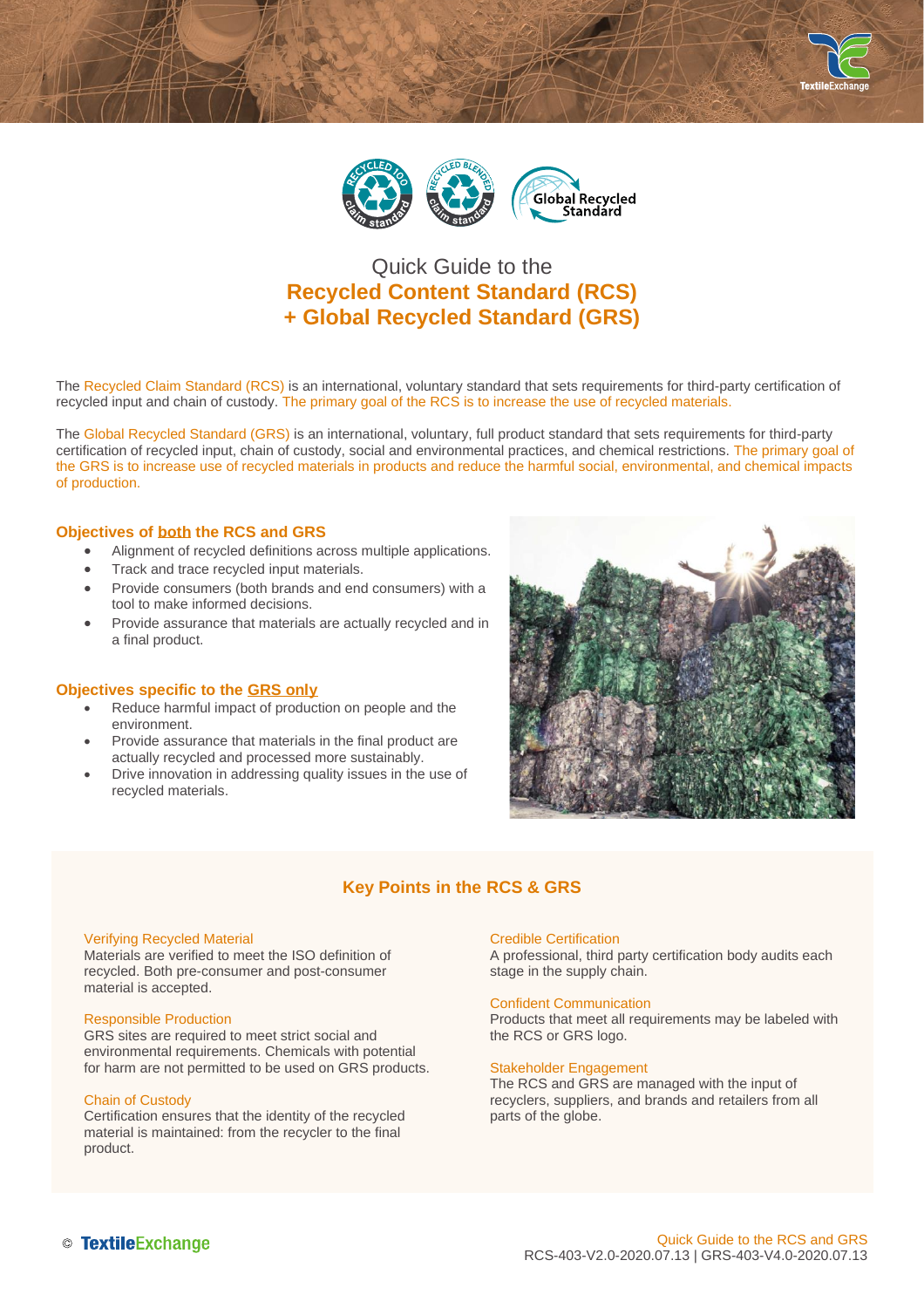



# Quick Guide to the **Recycled Content Standard (RCS) + Global Recycled Standard (GRS)**

The Recycled Claim Standard (RCS) is an international, voluntary standard that sets requirements for third-party certification of recycled input and chain of custody. The primary goal of the RCS is to increase the use of recycled materials.

The Global Recycled Standard (GRS) is an international, voluntary, full product standard that sets requirements for third-party certification of recycled input, chain of custody, social and environmental practices, and chemical restrictions. The primary goal of the GRS is to increase use of recycled materials in products and reduce the harmful social, environmental, and chemical impacts of production.

### **Objectives of both the RCS and GRS**

- Alignment of recycled definitions across multiple applications.
- Track and trace recycled input materials.
- Provide consumers (both brands and end consumers) with a tool to make informed decisions.
- Provide assurance that materials are actually recycled and in a final product.

#### **Objectives specific to the GRS only**

- Reduce harmful impact of production on people and the environment.
- Provide assurance that materials in the final product are actually recycled and processed more sustainably.
- Drive innovation in addressing quality issues in the use of recycled materials.



# **Key Points in the RCS & GRS**

#### Verifying Recycled Material

Materials are verified to meet the ISO definition of recycled. Both pre-consumer and post-consumer material is accepted.

#### Responsible Production

GRS sites are required to meet strict social and environmental requirements. Chemicals with potential for harm are not permitted to be used on GRS products.

#### Chain of Custody

Certification ensures that the identity of the recycled material is maintained: from the recycler to the final product.

#### Credible Certification

A professional, third party certification body audits each stage in the supply chain.

#### Confident Communication

Products that meet all requirements may be labeled with the RCS or GRS logo.

#### Stakeholder Engagement

The RCS and GRS are managed with the input of recyclers, suppliers, and brands and retailers from all parts of the globe.